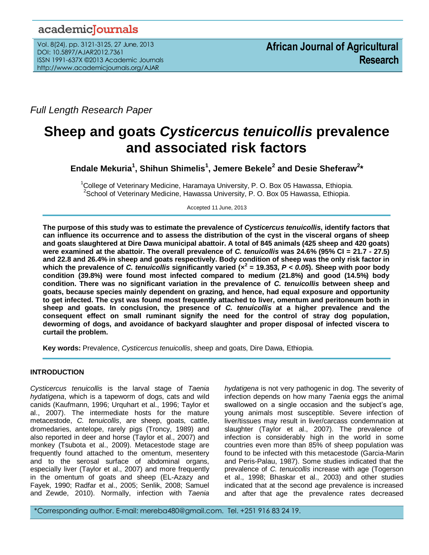# academicJournals

Vol. 8(24), pp. 3121-3125, 27 June, 2013 DOI: 10.5897/AJAR2012.7361 ISSN 1991-637X ©2013 Academic Journals http://www.academicjournals.org/AJAR

*Full Length Research Paper*

# **Sheep and goats** *Cysticercus tenuicollis* **prevalence and associated risk factors**

**Endale Mekuria<sup>1</sup> , Shihun Shimelis<sup>1</sup> , Jemere Bekele<sup>2</sup> and Desie Sheferaw<sup>2</sup> \***

 $1$ College of Veterinary Medicine, Haramaya University, P. O. Box 05 Hawassa, Ethiopia. <sup>2</sup>School of Veterinary Medicine, Hawassa University, P. O. Box 05 Hawassa, Ethiopia.

Accepted 11 June, 2013

**The purpose of this study was to estimate the prevalence of** *Cysticercus tenuicollis***, identify factors that can influence its occurrence and to assess the distribution of the cyst in the visceral organs of sheep and goats slaughtered at Dire Dawa municipal abattoir. A total of 845 animals (425 sheep and 420 goats) were examined at the abattoir. The overall prevalence of** *C. tenuicollis* **was 24.6% (95% CI = 21.7 - 27.5) and 22.8 and 26.4% in sheep and goats respectively. Body condition of sheep was the only risk factor in which the prevalence of** *C. tenuicollis* **significantly varied (×<sup>2</sup> = 19.353,** *P < 0.05***). Sheep with poor body condition (39.8%) were found most infected compared to medium (21.8%) and good (14.5%) body condition. There was no significant variation in the prevalence of** *C. tenuicollis* **between sheep and goats, because species mainly dependent on grazing, and hence, had equal exposure and opportunity to get infected. The cyst was found most frequently attached to liver, omentum and peritoneum both in sheep and goats. In conclusion, the presence of** *C. tenuicollis* **at a higher prevalence and the consequent effect on small ruminant signify the need for the control of stray dog population, deworming of dogs, and avoidance of backyard slaughter and proper disposal of infected viscera to curtail the problem.**

**Key words:** Prevalence, *Cysticercus tenuicollis*, sheep and goats, Dire Dawa, Ethiopia.

# **INTRODUCTION**

*Cysticercus tenuicollis* is the larval stage of *Taenia hydatigena*, which is a tapeworm of dogs, cats and wild canids (Kaufmann, 1996; Urquhart et al., 1996; Taylor et al., 2007). The intermediate hosts for the mature metacestode, *C. tenuicollis*, are sheep, goats, cattle, dromedaries, antelope, rarely pigs (Troncy, 1989) and also reported in deer and horse (Taylor et al., 2007) and monkey (Tsubota et al., 2009). Metacestode stage are frequently found attached to the omentum, mesentery and to the serosal surface of abdominal organs, especially liver (Taylor et al., 2007) and more frequently in the omentum of goats and sheep (EL-Azazy and Fayek, 1990; Radfar et al., 2005; Senlik, 2008; Samuel and Zewde, 2010). Normally, infection with *Taenia*  *hydatigena* is not very pathogenic in dog. The severity of infection depends on how many *Taenia* eggs the animal swallowed on a single occasion and the subject's age, young animals most susceptible. Severe infection of liver/tissues may result in liver/carcass condemnation at slaughter (Taylor et al., 2007). The prevalence of infection is considerably high in the world in some countries even more than 85% of sheep population was found to be infected with this metacestode (Garcia-Marin and Peris-Palau, 1987). Some studies indicated that the prevalence of *C. tenuicollis* increase with age (Togerson et al., 1998; Bhaskar et al., 2003) and other studies indicated that at the second age prevalence is increased and after that age the prevalence rates decreased

\*Corresponding author. E-mail: mereba480@gmail.com. Tel. +251 916 83 24 19.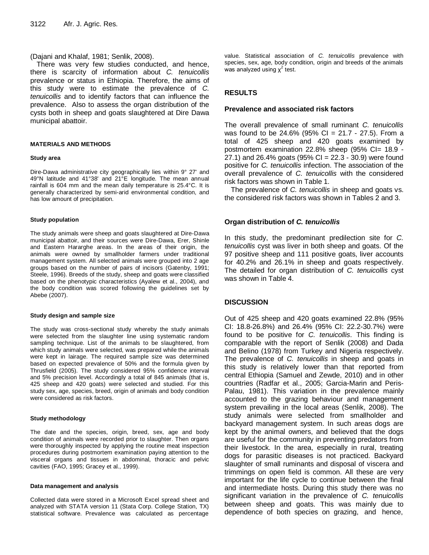# (Dajani and Khalaf, 1981; Senlik, 2008).

There was very few studies conducted, and hence, there is scarcity of information about *C. tenuicollis* prevalence or status in Ethiopia. Therefore, the aims of this study were to estimate the prevalence of *C. tenuicollis* and to identify factors that can influence the prevalence. Also to assess the organ distribution of the cysts both in sheep and goats slaughtered at Dire Dawa municipal abattoir.

#### **MATERIALS AND METHODS**

#### **Study area**

Dire-Dawa administrative city geographically lies within 9° 27' and 49°N latitude and 41°38' and 21°E longitude. The mean annual rainfall is 604 mm and the mean daily temperature is 25.4°C. It is generally characterized by semi-arid environmental condition, and has low amount of precipitation.

#### **Study population**

The study animals were sheep and goats slaughtered at Dire-Dawa municipal abattoir, and their sources were Dire-Dawa, Erer, Shinle and Eastern Hararghe areas. In the areas of their origin, the animals were owned by smallholder farmers under traditional management system. All selected animals were grouped into 2 age groups based on the number of pairs of incisors (Gatenby, 1991; Steele, 1996). Breeds of the study, sheep and goats were classified based on the phenotypic characteristics (Ayalew et al., 2004), and the body condition was scored following the guidelines set by Abebe (2007).

#### **Study design and sample size**

The study was cross-sectional study whereby the study animals were selected from the slaughter line using systematic random sampling technique. List of the animals to be slaughtered, from which study animals were selected, was prepared while the animals were kept in lairage. The required sample size was determined based on expected prevalence of 50% and the formula given by Thrusfield (2005). The study considered 95% confidence interval and 5% precision level. Accordingly a total of 845 animals (that is, 425 sheep and 420 goats) were selected and studied. For this study sex, age, species, breed, origin of animals and body condition were considered as risk factors.

#### **Study methodology**

The date and the species, origin, breed, sex, age and body condition of animals were recorded prior to slaughter. Then organs were thoroughly inspected by applying the routine meat inspection procedures during postmortem examination paying attention to the visceral organs and tissues in abdominal, thoracic and pelvic cavities (FAO, 1995; Gracey et al., 1999).

#### **Data management and analysis**

Collected data were stored in a Microsoft Excel spread sheet and analyzed with STATA version 11 (Stata Corp. College Station, TX) statistical software. Prevalence was calculated as percentage value. Statistical association of *C. tenuicollis* prevalence with species, sex, age, body condition, origin and breeds of the animals was analyzed using  $x^2$  test.

# **RESULTS**

# **Prevalence and associated risk factors**

The overall prevalence of small ruminant *C. tenuicollis* was found to be 24.6% (95% CI = 21.7 - 27.5). From a total of 425 sheep and 420 goats examined by postmortem examination 22.8% sheep (95% CI= 18.9 - 27.1) and 26.4% goats (95% CI = 22.3 - 30.9) were found positive for *C. tenuicollis* infection. The association of the overall prevalence of *C. tenuicollis* with the considered risk factors was shown in Table 1.

The prevalence of *C. tenuicollis* in sheep and goats vs. the considered risk factors was shown in Tables 2 and 3.

# **Organ distribution of** *C. tenuicollis*

In this study, the predominant predilection site for *C. tenuicollis* cyst was liver in both sheep and goats. Of the 97 positive sheep and 111 positive goats, liver accounts for 40.2% and 26.1% in sheep and goats respectively. The detailed for organ distribution of *C. tenuicollis* cyst was shown in Table 4.

# **DISCUSSION**

Out of 425 sheep and 420 goats examined 22.8% (95% CI: 18.8-26.8%) and 26.4% (95% CI: 22.2-30.7%) were found to be positive for *C. tenuicollis*. This finding is comparable with the report of Senlik (2008) and Dada and Belino (1978) from Turkey and Nigeria respectively. The prevalence of *C. tenuicollis* in sheep and goats in this study is relatively lower than that reported from central Ethiopia (Samuel and Zewde, 2010) and in other countries (Radfar et al., 2005; Garcia-Marin and Peris-Palau, 1981). This variation in the prevalence mainly accounted to the grazing behaviour and management system prevailing in the local areas (Senlik, 2008). The study animals were selected from smallholder and backyard management system. In such areas dogs are kept by the animal owners, and believed that the dogs are useful for the community in preventing predators from their livestock. In the area, especially in rural, treating dogs for parasitic diseases is not practiced. Backyard slaughter of small ruminants and disposal of viscera and trimmings on open field is common. All these are very important for the life cycle to continue between the final and intermediate hosts. During this study there was no significant variation in the prevalence of *C. tenuicollis* between sheep and goats. This was mainly due to dependence of both species on grazing, and hence,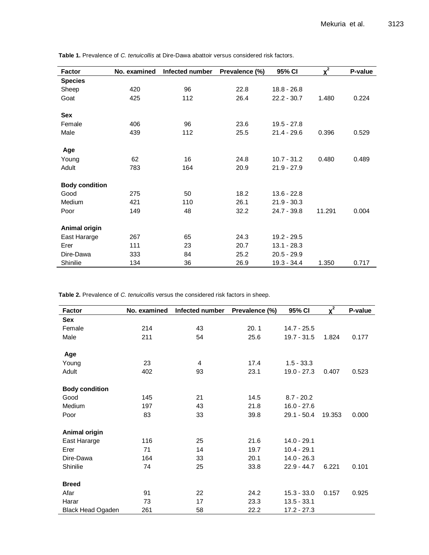| <b>Factor</b>         | No. examined | Infected number | Prevalence (%) | 95% CI        | $x^2$  | P-value |
|-----------------------|--------------|-----------------|----------------|---------------|--------|---------|
| <b>Species</b>        |              |                 |                |               |        |         |
| Sheep                 | 420          | 96              | 22.8           | $18.8 - 26.8$ |        |         |
| Goat                  | 425          | 112             | 26.4           | $22.2 - 30.7$ | 1.480  | 0.224   |
| <b>Sex</b>            |              |                 |                |               |        |         |
| Female                | 406          | 96              | 23.6           | $19.5 - 27.8$ |        |         |
| Male                  | 439          | 112             | 25.5           | $21.4 - 29.6$ | 0.396  | 0.529   |
| Age                   |              |                 |                |               |        |         |
| Young                 | 62           | 16              | 24.8           | $10.7 - 31.2$ | 0.480  | 0.489   |
| Adult                 | 783          | 164             | 20.9           | $21.9 - 27.9$ |        |         |
| <b>Body condition</b> |              |                 |                |               |        |         |
| Good                  | 275          | 50              | 18.2           | $13.6 - 22.8$ |        |         |
| Medium                | 421          | 110             | 26.1           | $21.9 - 30.3$ |        |         |
| Poor                  | 149          | 48              | 32.2           | $24.7 - 39.8$ | 11.291 | 0.004   |
| Animal origin         |              |                 |                |               |        |         |
| East Hararge          | 267          | 65              | 24.3           | 19.2 - 29.5   |        |         |
| Erer                  | 111          | 23              | 20.7           | $13.1 - 28.3$ |        |         |
| Dire-Dawa             | 333          | 84              | 25.2           | $20.5 - 29.9$ |        |         |
| Shinilie              | 134          | 36              | 26.9           | 19.3 - 34.4   | 1.350  | 0.717   |

**Table 1.** Prevalence of *C. tenuicollis* at Dire-Dawa abattoir versus considered risk factors.

**Table 2.** Prevalence of *C. tenuicollis* versus the considered risk factors in sheep.

| <b>Factor</b>            | No. examined | Infected number | Prevalence (%) | 95% CI        | $x^2$  | P-value |
|--------------------------|--------------|-----------------|----------------|---------------|--------|---------|
| <b>Sex</b>               |              |                 |                |               |        |         |
| Female                   | 214          | 43              | 20.1           | $14.7 - 25.5$ |        |         |
| Male                     | 211          | 54              | 25.6           | $19.7 - 31.5$ | 1.824  | 0.177   |
| Age                      |              |                 |                |               |        |         |
| Young                    | 23           | 4               | 17.4           | $1.5 - 33.3$  |        |         |
| Adult                    | 402          | 93              | 23.1           | $19.0 - 27.3$ | 0.407  | 0.523   |
| <b>Body condition</b>    |              |                 |                |               |        |         |
| Good                     | 145          | 21              | 14.5           | $8.7 - 20.2$  |        |         |
| Medium                   | 197          | 43              | 21.8           | $16.0 - 27.6$ |        |         |
| Poor                     | 83           | 33              | 39.8           | $29.1 - 50.4$ | 19.353 | 0.000   |
| Animal origin            |              |                 |                |               |        |         |
| East Hararge             | 116          | 25              | 21.6           | $14.0 - 29.1$ |        |         |
| Erer                     | 71           | 14              | 19.7           | $10.4 - 29.1$ |        |         |
| Dire-Dawa                | 164          | 33              | 20.1           | $14.0 - 26.3$ |        |         |
| Shinilie                 | 74           | 25              | 33.8           | $22.9 - 44.7$ | 6.221  | 0.101   |
| <b>Breed</b>             |              |                 |                |               |        |         |
| Afar                     | 91           | 22              | 24.2           | $15.3 - 33.0$ | 0.157  | 0.925   |
| Harar                    | 73           | 17              | 23.3           | $13.5 - 33.1$ |        |         |
| <b>Black Head Ogaden</b> | 261          | 58              | 22.2           | $17.2 - 27.3$ |        |         |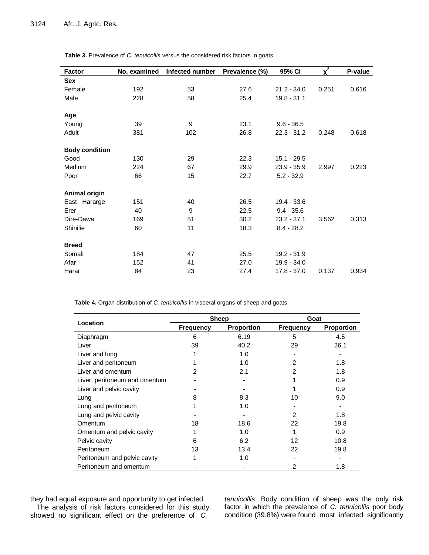| <b>Factor</b>         | No. examined | Infected number | Prevalence (%) | 95% CI        | $\overline{x^2}$ | P-value |
|-----------------------|--------------|-----------------|----------------|---------------|------------------|---------|
| <b>Sex</b>            |              |                 |                |               |                  |         |
| Female                | 192          | 53              | 27.6           | $21.2 - 34.0$ | 0.251            | 0.616   |
| Male                  | 228          | 58              | 25.4           | $19.8 - 31.1$ |                  |         |
| Age                   |              |                 |                |               |                  |         |
| Young                 | 39           | 9               | 23.1           | $9.6 - 36.5$  |                  |         |
| Adult                 | 381          | 102             | 26.8           | $22.3 - 31.2$ | 0.248            | 0.618   |
| <b>Body condition</b> |              |                 |                |               |                  |         |
| Good                  | 130          | 29              | 22.3           | $15.1 - 29.5$ |                  |         |
| Medium                | 224          | 67              | 29.9           | $23.9 - 35.9$ | 2.997            | 0.223   |
| Poor                  | 66           | 15              | 22.7           | $5.2 - 32.9$  |                  |         |
| Animal origin         |              |                 |                |               |                  |         |
| East Hararge          | 151          | 40              | 26.5           | $19.4 - 33.6$ |                  |         |
| Erer                  | 40           | 9               | 22.5           | $9.4 - 35.6$  |                  |         |
| Dire-Dawa             | 169          | 51              | 30.2           | $23.2 - 37.1$ | 3.562            | 0.313   |
| Shinilie              | 60           | 11              | 18.3           | $8.4 - 28.2$  |                  |         |
| <b>Breed</b>          |              |                 |                |               |                  |         |
| Somali                | 184          | 47              | 25.5           | 19.2 - 31.9   |                  |         |
| Afar                  | 152          | 41              | 27.0           | 19.9 - 34.0   |                  |         |
| Harar                 | 84           | 23              | 27.4           | $17.8 - 37.0$ | 0.137            | 0.934   |

**Table 3.** Prevalence of *C. tenuicollis* versus the considered risk factors in goats.

**Table 4.** Organ distribution of *C. tenuicollis* in visceral organs of sheep and goats.

| Location                      |                  | <b>Sheep</b>      | Goat             |            |  |
|-------------------------------|------------------|-------------------|------------------|------------|--|
|                               | <b>Frequency</b> | <b>Proportion</b> | <b>Frequency</b> | Proportion |  |
| Diaphragm                     | 6                | 6.19              | 5                | 4.5        |  |
| Liver                         | 39               | 40.2              | 29               | 26.1       |  |
| Liver and lung                |                  | 1.0               |                  |            |  |
| Liver and peritoneum          |                  | 1.0               | 2                | 1.8        |  |
| Liver and omentum             | 2                | 2.1               | 2                | 1.8        |  |
| Liver, peritoneum and omentum |                  |                   |                  | 0.9        |  |
| Liver and pelvic cavity       |                  |                   |                  | 0.9        |  |
| Lung                          | 8                | 8.3               | 10               | 9.0        |  |
| Lung and peritoneum           |                  | 1.0               |                  |            |  |
| Lung and pelvic cavity        |                  |                   | 2                | 1.8        |  |
| Omentum                       | 18               | 18.6              | 22               | 19.8       |  |
| Omentum and pelvic cavity     |                  | 1.0               |                  | 0.9        |  |
| Pelvic cavity                 | 6                | 6.2               | 12               | 10.8       |  |
| Peritoneum                    | 13               | 13.4              | 22               | 19.8       |  |
| Peritoneum and pelvic cavity  |                  | 1.0               |                  |            |  |
| Peritoneum and omentum        |                  |                   | 2                | 1.8        |  |

they had equal exposure and opportunity to get infected. The analysis of risk factors considered for this study showed no significant effect on the preference of *C.* 

*tenuicollis*. Body condition of sheep was the only risk factor in which the prevalence of *C. tenuicollis* poor body condition (39.8%) were found most infected significantly